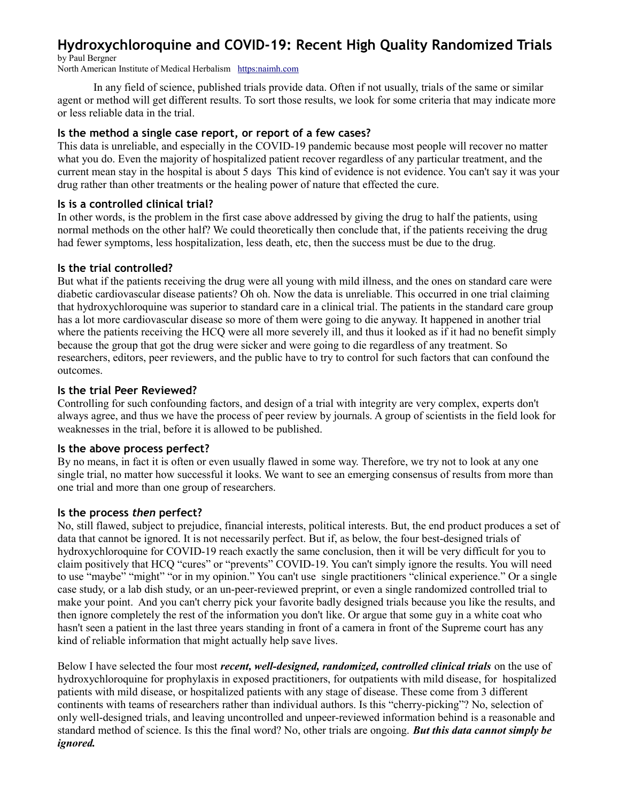# **Hydroxychloroquine and COVID-19: Recent High Quality Randomized Trials**

by Paul Bergner

North American Institute of Medical Herbalism [https:naimh.com](https://naimh.com/)

In any field of science, published trials provide data. Often if not usually, trials of the same or similar agent or method will get different results. To sort those results, we look for some criteria that may indicate more or less reliable data in the trial.

#### **Is the method a single case report, or report of a few cases?**

This data is unreliable, and especially in the COVID-19 pandemic because most people will recover no matter what you do. Even the majority of hospitalized patient recover regardless of any particular treatment, and the current mean stay in the hospital is about 5 days This kind of evidence is not evidence. You can't say it was your drug rather than other treatments or the healing power of nature that effected the cure.

#### **Is is a controlled clinical trial?**

In other words, is the problem in the first case above addressed by giving the drug to half the patients, using normal methods on the other half? We could theoretically then conclude that, if the patients receiving the drug had fewer symptoms, less hospitalization, less death, etc, then the success must be due to the drug.

#### **Is the trial controlled?**

But what if the patients receiving the drug were all young with mild illness, and the ones on standard care were diabetic cardiovascular disease patients? Oh oh. Now the data is unreliable. This occurred in one trial claiming that hydroxychloroquine was superior to standard care in a clinical trial. The patients in the standard care group has a lot more cardiovascular disease so more of them were going to die anyway. It happened in another trial where the patients receiving the HCQ were all more severely ill, and thus it looked as if it had no benefit simply because the group that got the drug were sicker and were going to die regardless of any treatment. So researchers, editors, peer reviewers, and the public have to try to control for such factors that can confound the outcomes.

#### **Is the trial Peer Reviewed?**

Controlling for such confounding factors, and design of a trial with integrity are very complex, experts don't always agree, and thus we have the process of peer review by journals. A group of scientists in the field look for weaknesses in the trial, before it is allowed to be published.

#### **Is the above process perfect?**

By no means, in fact it is often or even usually flawed in some way. Therefore, we try not to look at any one single trial, no matter how successful it looks. We want to see an emerging consensus of results from more than one trial and more than one group of researchers.

#### **Is the process** *then* **perfect?**

No, still flawed, subject to prejudice, financial interests, political interests. But, the end product produces a set of data that cannot be ignored. It is not necessarily perfect. But if, as below, the four best-designed trials of hydroxychloroquine for COVID-19 reach exactly the same conclusion, then it will be very difficult for you to claim positively that HCQ "cures" or "prevents" COVID-19. You can't simply ignore the results. You will need to use "maybe" "might" "or in my opinion." You can't use single practitioners "clinical experience." Or a single case study, or a lab dish study, or an un-peer-reviewed preprint, or even a single randomized controlled trial to make your point. And you can't cherry pick your favorite badly designed trials because you like the results, and then ignore completely the rest of the information you don't like. Or argue that some guy in a white coat who hasn't seen a patient in the last three years standing in front of a camera in front of the Supreme court has any kind of reliable information that might actually help save lives.

Below I have selected the four most *recent, well-designed, randomized, controlled clinical trials* on the use of hydroxychloroquine for prophylaxis in exposed practitioners, for outpatients with mild disease, for hospitalized patients with mild disease, or hospitalized patients with any stage of disease. These come from 3 different continents with teams of researchers rather than individual authors. Is this "cherry-picking"? No, selection of only well-designed trials, and leaving uncontrolled and unpeer-reviewed information behind is a reasonable and standard method of science. Is this the final word? No, other trials are ongoing. *But this data cannot simply be ignored.*